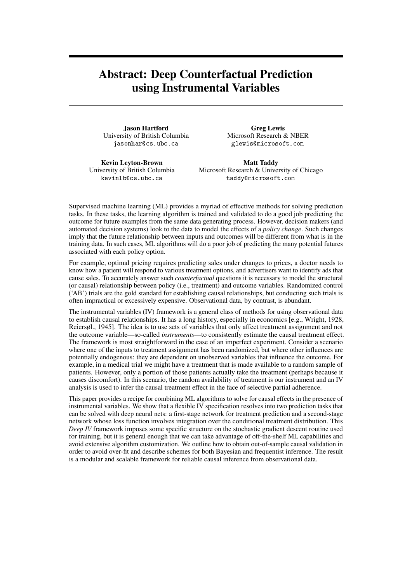## Abstract: Deep Counterfactual Prediction using Instrumental Variables

Jason Hartford University of British Columbia jasonhar@cs.ubc.ca

Greg Lewis Microsoft Research & NBER glewis@microsoft.com

Kevin Leyton-Brown University of British Columbia kevinlb@cs.ubc.ca

Matt Taddy Microsoft Research & University of Chicago taddy@microsoft.com

Supervised machine learning (ML) provides a myriad of effective methods for solving prediction tasks. In these tasks, the learning algorithm is trained and validated to do a good job predicting the outcome for future examples from the same data generating process. However, decision makers (and automated decision systems) look to the data to model the effects of a *policy change*. Such changes imply that the future relationship between inputs and outcomes will be different from what is in the training data. In such cases, ML algorithms will do a poor job of predicting the many potential futures associated with each policy option.

For example, optimal pricing requires predicting sales under changes to prices, a doctor needs to know how a patient will respond to various treatment options, and advertisers want to identify ads that cause sales. To accurately answer such *counterfactual* questions it is necessary to model the structural (or causal) relationship between policy (i.e., treatment) and outcome variables. Randomized control ('AB') trials are the gold standard for establishing causal relationships, but conducting such trials is often impractical or excessively expensive. Observational data, by contrast, is abundant.

The instrumental variables (IV) framework is a general class of methods for using observational data to establish causal relationships. It has a long history, especially in economics [e.g., [Wright, 1928,](#page-1-0) [Reiersøl., 1945\]](#page-1-1). The idea is to use sets of variables that only affect treatment assignment and not the outcome variable—so-called *instruments*—to consistently estimate the causal treatment effect. The framework is most straightforward in the case of an imperfect experiment. Consider a scenario where one of the inputs to treatment assignment has been randomized, but where other influences are potentially endogenous: they are dependent on unobserved variables that influence the outcome. For example, in a medical trial we might have a treatment that is made available to a random sample of patients. However, only a portion of those patients actually take the treatment (perhaps because it causes discomfort). In this scenario, the random availability of treatment is our instrument and an IV analysis is used to infer the causal treatment effect in the face of selective partial adherence.

This paper provides a recipe for combining ML algorithms to solve for causal effects in the presence of instrumental variables. We show that a flexible IV specification resolves into two prediction tasks that can be solved with deep neural nets: a first-stage network for treatment prediction and a second-stage network whose loss function involves integration over the conditional treatment distribution. This *Deep IV* framework imposes some specific structure on the stochastic gradient descent routine used for training, but it is general enough that we can take advantage of off-the-shelf ML capabilities and avoid extensive algorithm customization. We outline how to obtain out-of-sample causal validation in order to avoid over-fit and describe schemes for both Bayesian and frequentist inference. The result is a modular and scalable framework for reliable causal inference from observational data.